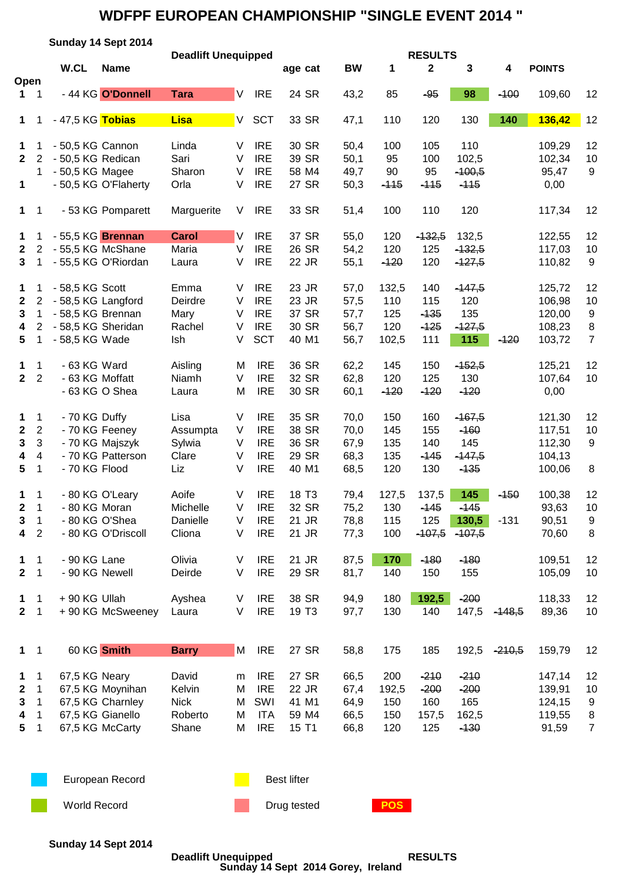## **WDFPF EUROPEAN CHAMPIONSHIP "SINGLE EVENT 2014 "**

|                  |                         |                               | Sunday 14 Sept 2014  |                            |        |            |                    |           |            |                               |             |          |               |                  |
|------------------|-------------------------|-------------------------------|----------------------|----------------------------|--------|------------|--------------------|-----------|------------|-------------------------------|-------------|----------|---------------|------------------|
| Open             |                         | W.CL                          | <b>Name</b>          | <b>Deadlift Unequipped</b> |        |            | age cat            | <b>BW</b> | 1          | <b>RESULTS</b><br>$\mathbf 2$ | $\mathbf 3$ | 4        | <b>POINTS</b> |                  |
| 1.               | $\overline{\mathbf{1}}$ |                               | - 44 KG O'Donnell    | <b>Tara</b>                | V      | <b>IRE</b> | 24 SR              | 43,2      | 85         | $-95$                         | 98          | $-100$   | 109,60        | 12               |
| $\mathbf 1$      | 1                       | - 47,5 KG <mark>Tobias</mark> |                      | <b>Lisa</b>                | V.     | <b>SCT</b> | 33 SR              | 47,1      | 110        | 120                           | 130         | 140      | 136,42        | 12               |
| $\mathbf 1$      | 1                       | - 50,5 KG Cannon              |                      | Linda                      | V      | <b>IRE</b> | 30 SR              | 50,4      | 100        | 105                           | 110         |          | 109,29        | 12               |
| $\mathbf{2}$     | 2                       | - 50,5 KG Redican             |                      | Sari                       | $\vee$ | <b>IRE</b> | 39 SR              | 50,1      | 95         | 100                           | 102,5       |          | 102,34        | 10               |
|                  | 1                       | - 50,5 KG Magee               |                      | Sharon                     | V      | <b>IRE</b> | 58 M4              | 49,7      | 90         | 95                            | $-100,5$    |          | 95,47         | 9                |
| 1                |                         |                               | - 50,5 KG O'Flaherty | Orla                       | V      | <b>IRE</b> | 27 SR              | 50,3      | $-115$     | $-115$                        | $-115$      |          | 0,00          |                  |
| $\mathbf 1$      | $\overline{1}$          |                               | - 53 KG Pomparett    | Marguerite                 | V      | <b>IRE</b> | 33 SR              | 51,4      | 100        | 110                           | 120         |          | 117,34        | 12               |
| 1                | 1                       | - 55,5 KG Brennan             |                      | <b>Carol</b>               | IV.    | <b>IRE</b> | 37 SR              | 55,0      | 120        | $-132,5$                      | 132,5       |          | 122,55        | 12               |
| $\mathbf{2}$     | $\overline{2}$          | - 55,5 KG McShane             |                      | Maria                      | $\vee$ | <b>IRE</b> | 26 SR              | 54,2      | 120        | 125                           | $-132,5$    |          | 117,03        | 10               |
| $3\phantom{a}$   | 1                       |                               | - 55,5 KG O'Riordan  | Laura                      | $\vee$ | <b>IRE</b> | 22 JR              | 55,1      | $-120$     | 120                           | $-127,5$    |          | 110,82        | $9\,$            |
| 1                | 1                       | - 58,5 KG Scott               |                      | Emma                       | V      | <b>IRE</b> | 23 JR              | 57,0      | 132,5      | 140                           | $-147,5$    |          | 125,72        | 12               |
| $\mathbf{2}$     | 2                       | - 58,5 KG Langford            |                      | Deirdre                    | V      | <b>IRE</b> | 23 JR              | 57,5      | 110        | 115                           | 120         |          | 106,98        | 10               |
| 3                | 1                       | - 58,5 KG Brennan             |                      | Mary                       | V      | <b>IRE</b> | 37 SR              | 57,7      | 125        | $-135$                        | 135         |          | 120,00        | $\boldsymbol{9}$ |
| 4                | $\overline{2}$          | - 58,5 KG Sheridan            |                      | Rachel                     | V      | <b>IRE</b> | 30 SR              | 56,7      | 120        | $-125$                        | $-127,5$    |          | 108,23        | 8                |
| 5                | 1                       | - 58,5 KG Wade                |                      | Ish                        | V      | <b>SCT</b> | 40 M1              | 56,7      | 102,5      | 111                           | 115         | $-120$   | 103,72        | $\overline{7}$   |
| $\mathbf 1$      | 1                       | - 63 KG Ward                  |                      | Aisling                    | M      | <b>IRE</b> | 36 SR              | 62,2      | 145        | 150                           | $-152,5$    |          | 125,21        | 12               |
| $\mathbf{2}$     | $\overline{2}$          | - 63 KG Moffatt               |                      | Niamh                      | V      | <b>IRE</b> | 32 SR              | 62,8      | 120        | 125                           | 130         |          | 107,64        | 10               |
|                  |                         |                               | - 63 KG O Shea       | Laura                      | M      | <b>IRE</b> | 30 SR              | 60,1      | $-120$     | $-120$                        | $-120$      |          | 0,00          |                  |
| 1                | 1                       | - 70 KG Duffy                 |                      | Lisa                       | $\vee$ | <b>IRE</b> | 35 SR              | 70,0      | 150        | 160                           | $-167,5$    |          | 121,30        | 12               |
| $\boldsymbol{2}$ | $\sqrt{2}$              | - 70 KG Feeney                |                      | Assumpta                   | $\vee$ | <b>IRE</b> | 38 SR              | 70,0      | 145        | 155                           | $-160$      |          | 117,51        | 10               |
| 3                | 3                       |                               | - 70 KG Majszyk      | Sylwia                     | $\vee$ | <b>IRE</b> | 36 SR              | 67,9      | 135        | 140                           | 145         |          | 112,30        | 9                |
| 4                | $\overline{\mathbf{4}}$ |                               | - 70 KG Patterson    | Clare                      | $\vee$ | <b>IRE</b> | 29 SR              | 68,3      | 135        | $-145$                        | $-147,5$    |          | 104,13        |                  |
| 5                | 1                       | - 70 KG Flood                 |                      | Liz                        | $\vee$ | <b>IRE</b> | 40 M1              | 68,5      | 120        | 130                           | $-135$      |          | 100,06        | 8                |
| 1                | 1                       |                               | - 80 KG O'Leary      | Aoife                      | V      | <b>IRE</b> | 18 T <sub>3</sub>  | 79,4      | 127,5      | 137,5                         | 145         | $-150$   | 100,38        | 12               |
| 2                | 1                       | - 80 KG Moran                 |                      | Michelle                   | V      | <b>IRE</b> | 32 SR              | 75,2      | 130        | -145                          | -145        |          | 93,63         | 10               |
| 3                | 1                       | - 80 KG O'Shea                |                      | Danielle                   | V      | <b>IRE</b> | 21 JR              | 78,8      | 115        | 125                           | 130,5       | $-131$   | 90,51         | 9                |
| 4                | $\sqrt{2}$              |                               | - 80 KG O'Driscoll   | Cliona                     | V      | <b>IRE</b> | 21 JR              | 77,3      | 100        | $-107,5$                      | $-107,5$    |          | 70,60         | 8                |
| 1.               | 1                       | - 90 KG Lane                  |                      | Olivia                     | $\vee$ | <b>IRE</b> | 21 JR              | 87,5      | 170        | $-180$                        | $-180$      |          | 109,51        | 12               |
| $\mathbf{2}$     | 1                       | - 90 KG Newell                |                      | Deirde                     | V      | <b>IRE</b> | 29 SR              | 81,7      | 140        | 150                           | 155         |          | 105,09        | 10               |
| 1                | 1                       | +90 KG Ullah                  |                      | Ayshea                     | $\vee$ | <b>IRE</b> | 38 SR              | 94,9      | 180        | 192,5                         | $-200$      |          | 118,33        | 12               |
| $\mathbf{2}$     | 1                       |                               | + 90 KG McSweeney    | Laura                      | $\vee$ | <b>IRE</b> | 19 T <sub>3</sub>  | 97,7      | 130        | 140                           | 147,5       | $-148,5$ | 89,36         | 10               |
|                  |                         |                               |                      |                            |        |            |                    |           |            |                               |             |          |               |                  |
| $\mathbf 1$      | $\overline{1}$          |                               | 60 KG Smith          | <b>Barry</b>               | M      | <b>IRE</b> | 27 SR              | 58,8      | 175        | 185                           | 192,5       | $-210,5$ | 159,79        | 12               |
| 1                | 1                       | 67,5 KG Neary                 |                      | David                      | m      | <b>IRE</b> | 27 SR              | 66,5      | 200        | $-210$                        | $-210$      |          | 147,14        | 12               |
| 2                | 1                       |                               | 67,5 KG Moynihan     | Kelvin                     | M      | <b>IRE</b> | 22 JR              | 67,4      | 192,5      | $-200$                        | $-200$      |          | 139,91        | 10               |
| 3                | $\mathbf 1$             |                               | 67,5 KG Charnley     | <b>Nick</b>                | M      | SWI        | 41 M1              | 64,9      | 150        | 160                           | 165         |          | 124,15        | 9                |
| 4                | 1                       |                               | 67,5 KG Gianello     | Roberto                    | M      | ITA        | 59 M4              | 66,5      | 150        | 157,5                         | 162,5       |          | 119,55        | 8                |
| 5                | 1                       |                               | 67,5 KG McCarty      | Shane                      | M      | <b>IRE</b> | 15 T1              | 66,8      | 120        | 125                           | $-130$      |          | 91,59         | $\overline{7}$   |
|                  |                         |                               | European Record      |                            |        |            | <b>Best lifter</b> |           |            |                               |             |          |               |                  |
|                  |                         |                               |                      |                            |        |            |                    |           |            |                               |             |          |               |                  |
|                  |                         | <b>World Record</b>           |                      |                            |        |            | Drug tested        |           | <b>POS</b> |                               |             |          |               |                  |
|                  |                         |                               |                      |                            |        |            |                    |           |            |                               |             |          |               |                  |

**Sunday 14 Sept 2014**

**Deadlift Unequipped RESULTS Sunday 14 Sept 2014 Gorey, Ireland**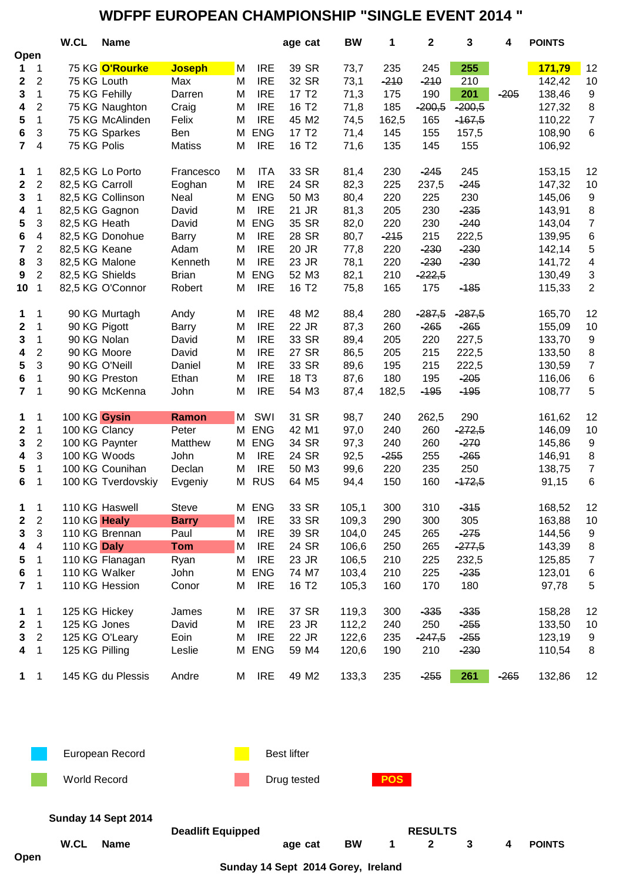## **WDFPF EUROPEAN CHAMPIONSHIP "SINGLE EVENT 2014 "**

|                  |                | W.CL            | <b>Name</b>        |               |   |            | age cat           | <b>BW</b> | 1      | $\mathbf 2$ | 3        | 4      | <b>POINTS</b> |                           |
|------------------|----------------|-----------------|--------------------|---------------|---|------------|-------------------|-----------|--------|-------------|----------|--------|---------------|---------------------------|
| Open             |                |                 |                    |               |   |            |                   |           |        |             |          |        |               |                           |
| 1                | 1              |                 | 75 KG O'Rourke     | <b>Joseph</b> | М | <b>IRE</b> | 39 SR             | 73,7      | 235    | 245         | 255      |        | 171,79        | 12                        |
| 2                | 2              |                 | 75 KG Louth        | Max           | M | <b>IRE</b> | 32 SR             | 73,1      | $-210$ | $-210$      | 210      |        | 142,42        | 10                        |
| 3                | $\mathbf{1}$   |                 | 75 KG Fehilly      | Darren        | M | <b>IRE</b> | 17 T <sub>2</sub> | 71,3      | 175    | 190         | 201      | $-205$ | 138,46        | $\boldsymbol{9}$          |
| 4                | $\overline{2}$ |                 | 75 KG Naughton     | Craig         | M | <b>IRE</b> | 16 T <sub>2</sub> | 71,8      | 185    | $-200,5$    | $-200,5$ |        | 127,32        | $\,8\,$                   |
| 5                | $\mathbf{1}$   |                 | 75 KG McAlinden    | Felix         | M | <b>IRE</b> | 45 M2             | 74,5      | 162,5  | 165         | $-167,5$ |        | 110,22        | $\boldsymbol{7}$          |
| 6                | 3              |                 | 75 KG Sparkes      | Ben           | M | <b>ENG</b> | 17 T <sub>2</sub> | 71,4      | 145    | 155         | 157,5    |        | 108,90        | $\,6\,$                   |
| $\overline{7}$   | 4              | 75 KG Polis     |                    | <b>Matiss</b> | M | <b>IRE</b> | 16 T <sub>2</sub> | 71,6      | 135    | 145         | 155      |        | 106,92        |                           |
| 1                | 1              |                 | 82,5 KG Lo Porto   | Francesco     | M | <b>ITA</b> | 33 SR             | 81,4      | 230    | $-245$      | 245      |        | 153,15        | 12                        |
| $\boldsymbol{2}$ | $\overline{2}$ | 82,5 KG Carroll |                    | Eoghan        | M | <b>IRE</b> | 24 SR             | 82,3      | 225    | 237,5       | $-245$   |        | 147,32        | 10                        |
| 3                | 1              |                 | 82,5 KG Collinson  | Neal          | М | <b>ENG</b> | 50 M3             | 80,4      | 220    | 225         | 230      |        | 145,06        | $\boldsymbol{9}$          |
| 4                | 1              |                 | 82,5 KG Gagnon     | David         | M | <b>IRE</b> | 21 JR             | 81,3      | 205    | 230         | $-235$   |        | 143,91        | $\bf 8$                   |
| 5                | 3              | 82,5 KG Heath   |                    | David         | М | <b>ENG</b> | 35 SR             | 82,0      | 220    | 230         | $-240$   |        | 143,04        | $\boldsymbol{7}$          |
| 6                | 4              |                 | 82,5 KG Donohue    | Barry         | M | <b>IRE</b> | 28 SR             | 80,7      | $-215$ | 215         | 222,5    |        | 139,95        | $\,6$                     |
| 7                | $\overline{2}$ | 82,5 KG Keane   |                    | Adam          | M | <b>IRE</b> | 20 JR             | 77,8      | 220    | $-230$      | $-230$   |        | 142,14        | $\,$ 5 $\,$               |
| 8                | 3              | 82,5 KG Malone  |                    | Kenneth       | M | <b>IRE</b> | 23 JR             | 78,1      | 220    | $-230$      | $-230$   |        | 141,72        | $\overline{\mathbf{4}}$   |
| $\boldsymbol{9}$ | $\overline{2}$ | 82,5 KG Shields |                    | <b>Brian</b>  | M | <b>ENG</b> | 52 M3             | 82,1      | 210    | $-222,5$    |          |        | 130,49        | $\ensuremath{\mathsf{3}}$ |
| 10               | 1              |                 | 82,5 KG O'Connor   | Robert        | M | <b>IRE</b> | 16 T <sub>2</sub> | 75,8      | 165    | 175         | $-185$   |        | 115,33        | $\overline{c}$            |
| 1                | 1              |                 | 90 KG Murtagh      | Andy          | M | <b>IRE</b> | 48 M2             | 88,4      | 280    | $-287,5$    | $-287,5$ |        | 165,70        | 12                        |
| 2                | 1              |                 | 90 KG Pigott       | Barry         | M | <b>IRE</b> | 22 JR             | 87,3      | 260    | $-265$      | $-265$   |        | 155,09        | 10                        |
| 3                | $\mathbf{1}$   |                 | 90 KG Nolan        | David         | M | <b>IRE</b> | 33 SR             | 89,4      | 205    | 220         | 227,5    |        | 133,70        | $\boldsymbol{9}$          |
| 4                | $\overline{c}$ |                 | 90 KG Moore        | David         | M | <b>IRE</b> | 27 SR             | 86,5      | 205    | 215         | 222,5    |        | 133,50        | $\bf 8$                   |
| 5                | 3              |                 | 90 KG O'Neill      | Daniel        | M | <b>IRE</b> | 33 SR             | 89,6      | 195    | 215         | 222,5    |        | 130,59        | $\overline{7}$            |
| 6                | 1              |                 | 90 KG Preston      | Ethan         | M | <b>IRE</b> | 18 T <sub>3</sub> | 87,6      | 180    | 195         | $-205$   |        | 116,06        | $\,6\,$                   |
| $\overline{7}$   | 1              |                 | 90 KG McKenna      | John          | M | <b>IRE</b> | 54 M3             | 87,4      | 182,5  | $-195$      | $-195$   |        | 108,77        | $\sqrt{5}$                |
| 1                | 1              | 100 KG Gysin    |                    | Ramon         | M | SWI        | 31 SR             | 98,7      | 240    | 262,5       | 290      |        | 161,62        | 12                        |
| 2                | 1              |                 | 100 KG Clancy      | Peter         | M | <b>ENG</b> | 42 M1             | 97,0      | 240    | 260         | $-272,5$ |        | 146,09        | 10                        |
| 3                | $\overline{2}$ |                 | 100 KG Paynter     | Matthew       | M | <b>ENG</b> | 34 SR             | 97,3      | 240    | 260         | $-270$   |        | 145,86        | 9                         |
| 4                | 3              |                 | 100 KG Woods       | John          | M | <b>IRE</b> | 24 SR             | 92,5      | $-255$ | 255         | $-265$   |        | 146,91        | $\bf 8$                   |
| 5                | 1              |                 | 100 KG Counihan    | Declan        | M | <b>IRE</b> | 50 M3             | 99,6      | 220    | 235         | 250      |        | 138,75        | $\boldsymbol{7}$          |
| 6                | 1              |                 | 100 KG Tverdovskiy | Evgeniy       | M | <b>RUS</b> | 64 M <sub>5</sub> | 94,4      | 150    | 160         | $-172,5$ |        | 91,15         | $\,6$                     |
| 1                | 1              |                 | 110 KG Haswell     | <b>Steve</b>  | М | <b>ENG</b> | 33 SR             | 105,1     | 300    | 310         | $-315$   |        | 168,52        | 12                        |
| 2                | $\overline{2}$ | 110 KG Healy    |                    | <b>Barry</b>  | M | <b>IRE</b> | 33 SR             | 109,3     | 290    | 300         | 305      |        | 163,88        | 10                        |
| 3                | 3              |                 | 110 KG Brennan     | Paul          | M | <b>IRE</b> | 39 SR             | 104,0     | 245    | 265         | $-275$   |        | 144,56        | 9                         |
| 4                | 4              | 110 KG Daly     |                    | <b>Tom</b>    | M | <b>IRE</b> | 24 SR             | 106,6     | 250    | 265         | $-277,5$ |        | 143,39        | 8                         |
| 5                | 1              |                 | 110 KG Flanagan    | Ryan          | M | <b>IRE</b> | 23 JR             | 106,5     | 210    | 225         | 232,5    |        | 125,85        | $\overline{7}$            |
| 6                | 1              |                 | 110 KG Walker      | John          | М | <b>ENG</b> | 74 M7             | 103,4     | 210    | 225         | $-235$   |        | 123,01        | 6                         |
| $\mathbf{7}$     | 1              |                 | 110 KG Hession     | Conor         | M | <b>IRE</b> | 16 T <sub>2</sub> | 105,3     | 160    | 170         | 180      |        | 97,78         | $\sqrt{5}$                |
| 1                | 1              | 125 KG Hickey   |                    | James         | M | <b>IRE</b> | 37 SR             | 119,3     | 300    | $-335$      | $-335$   |        | 158,28        | 12                        |
| 2                | $\mathbf{1}$   | 125 KG Jones    |                    | David         | M | <b>IRE</b> | 23 JR             | 112,2     | 240    | 250         | $-255$   |        | 133,50        | 10                        |
| 3                | $\sqrt{2}$     |                 | 125 KG O'Leary     | Eoin          | M | <b>IRE</b> | 22 JR             | 122,6     | 235    | $-247,5$    | $-255$   |        | 123,19        | 9                         |
| 4                | 1              | 125 KG Pilling  |                    | Leslie        | М | <b>ENG</b> | 59 M4             | 120,6     | 190    | 210         | $-230$   |        | 110,54        | 8                         |
| 1                | $\mathbf 1$    |                 | 145 KG du Plessis  | Andre         | М | <b>IRE</b> | 49 M <sub>2</sub> | 133,3     | 235    | $-255$      | 261      | $-265$ | 132,86        | 12                        |











**Sunday 14 Sept 2014**

|      | Sunday 14 Sept 2014 | <b>Deadlift Equipped</b> |         | <b>RESULTS</b> |  |             |   |   |               |  |  |
|------|---------------------|--------------------------|---------|----------------|--|-------------|---|---|---------------|--|--|
|      | W.CL Name           |                          | age cat | <b>BW</b>      |  | $1 \quad 2$ | 3 | 4 | <b>POINTS</b> |  |  |
| Open |                     |                          |         |                |  |             |   |   |               |  |  |

**Sunday 14 Sept 2014 Gorey, Ireland**